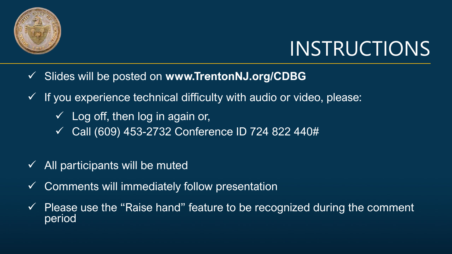

# INSTRUCTIONS

- ✓ Slides will be posted on **www.TrentonNJ.org/CDBG**
- $\checkmark$  If you experience technical difficulty with audio or video, please:
	- $\checkmark$  Log off, then log in again or,
	- ✓ Call (609) 453-2732 Conference ID 724 822 440#
- $\checkmark$  All participants will be muted
- $\checkmark$  Comments will immediately follow presentation
- $\checkmark$  Please use the "Raise hand" feature to be recognized during the comment period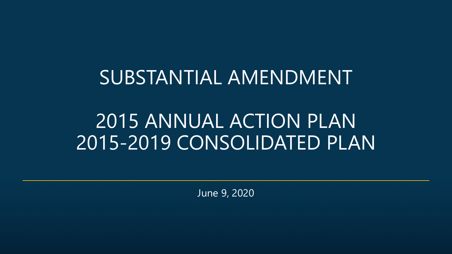#### SUBSTANTIAL AMENDMENT

### 2015 ANNUAL ACTION PLAN 2015-2019 CONSOLIDATED PLAN

June 9, 2020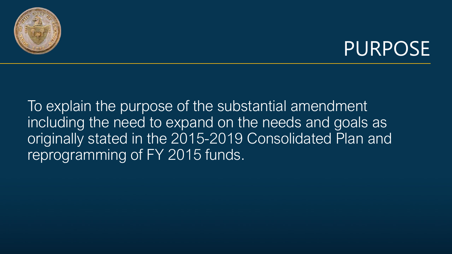



To explain the purpose of the substantial amendment including the need to expand on the needs and goals as originally stated in the 2015-2019 Consolidated Plan and reprogramming of FY 2015 funds.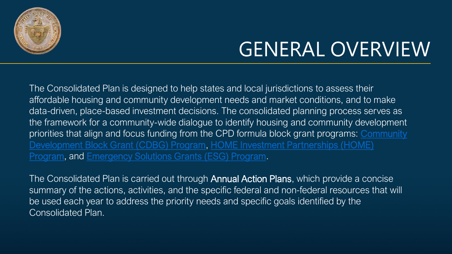

# GENERAL OVERVIEW

The Consolidated Plan is designed to help states and local jurisdictions to assess their affordable housing and community development needs and market conditions, and to make data-driven, place-based investment decisions. The consolidated planning process serves as the framework for a community-wide dialogue to identify housing and community development [priorities that align and focus funding from the CPD formula block grant programs:](https://www.hudexchange.info/community-development) Community Development Block Grant (CDBG) Program, HOME Investment Partnerships (HOME) Program, and [Emergency Solutions Grants \(ESG\) Program.](https://www.hudexchange.info/home)

The Consolidated Plan is carried out through **Annual Action Plans**, which provide a concise summary of the actions, activities, and the specific federal and non-federal resources that will be used each year to address the priority needs and specific goals identified by the Consolidated Plan.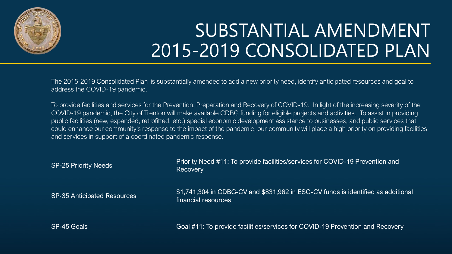

## SUBSTANTIAL AMENDMENT 2015-2019 CONSOLIDATED PLAN

The 2015-2019 Consolidated Plan is substantially amended to add a new priority need, identify anticipated resources and goal to address the COVID-19 pandemic.

To provide facilities and services for the Prevention, Preparation and Recovery of COVID-19. In light of the increasing severity of the COVID-19 pandemic, the City of Trenton will make available CDBG funding for eligible projects and activities. To assist in providing public facilities (new, expanded, retrofitted, etc.) special economic development assistance to businesses, and public services that could enhance our community's response to the impact of the pandemic, our community will place a high priority on providing facilities and services in support of a coordinated pandemic response.

| <b>SP-25 Priority Needs</b>        | Priority Need #11: To provide facilities/services for COVID-19 Prevention and<br>Recovery               |
|------------------------------------|---------------------------------------------------------------------------------------------------------|
| <b>SP-35 Anticipated Resources</b> | \$1,741,304 in CDBG-CV and \$831,962 in ESG-CV funds is identified as additional<br>financial resources |
| SP-45 Goals                        | Goal #11: To provide facilities/services for COVID-19 Prevention and Recovery                           |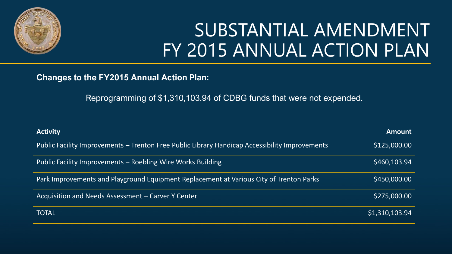

### SUBSTANTIAL AMENDMENT FY 2015 ANNUAL ACTION PLAN

#### **Changes to the FY2015 Annual Action Plan:**

Reprogramming of \$1,310,103.94 of CDBG funds that were not expended.

| <b>Activity</b>                                                                                | <b>Amount</b> |
|------------------------------------------------------------------------------------------------|---------------|
| Public Facility Improvements – Trenton Free Public Library Handicap Accessibility Improvements | \$125,000.00  |
| Public Facility Improvements - Roebling Wire Works Building                                    | \$460,103.94  |
| Park Improvements and Playground Equipment Replacement at Various City of Trenton Parks        | \$450,000.00  |
| Acquisition and Needs Assessment - Carver Y Center                                             | \$275,000.00  |
| <b>TOTAL</b>                                                                                   | 51,310,103.94 |